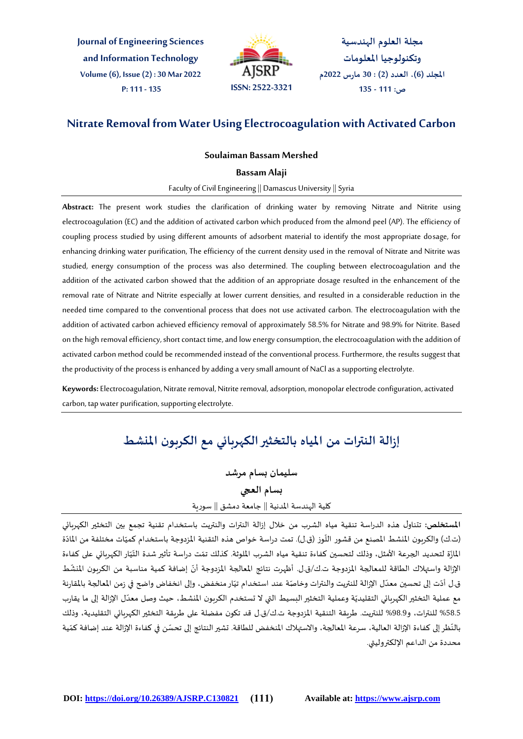**Journal of Engineering Sciences and Information Technology Volume (6), Issue (2) : 30 Mar 2022**



**مجلة العلوم الهندسية وتكنولوجيا املعلومات املجلد )6(، العدد )2( : 30 مارس 2022م ص: 111 - 135**

# **Nitrate Removal from Water Using Electrocoagulation with Activated Carbon**

# **Soulaiman Bassam Mershed**

#### **Bassam Alaji**

Faculty of Civil Engineering || Damascus University || Syria

**Abstract:** The present work studies the clarification of drinking water by removing Nitrate and Nitrite using electrocoagulation (EC) and the addition of activated carbon which produced from the almond peel (AP). The efficiency of coupling process studied by using different amounts of adsorbent material to identify the most appropriate dosage, for enhancing drinking water purification, The efficiency of the current density used in the removal of Nitrate and Nitrite was studied, energy consumption of the process was also determined. The coupling between electrocoagulation and the addition of the activated carbon showed that the addition of an appropriate dosage resulted in the enhancement of the removal rate of Nitrate and Nitrite especially at lower current densities, and resulted in a considerable reduction in the needed time compared to the conventional process that does not use activated carbon. The electrocoagulation with the addition of activated carbon achieved efficiency removal of approximately 58.5% for Nitrate and 98.9% for Nitrite. Based on the high removal efficiency, short contact time, and low energy consumption, the electrocoagulation with the addition of activated carbon method could be recommended instead of the conventional process. Furthermore, the results suggest that the productivity of the process is enhanced by adding a very small amount of NaCl as a supporting electrolyte.

**Keywords:** Electrocoagulation, Nitrate removal, Nitrite removal, adsorption, monopolar electrode configuration, activated carbon, tap water purification, supporting electrolyte.

# **إزالة النترات من املياه بالتخثيرالكهربائي مع الكربون املنشط**

**سليمان بسام مرشد بسام العجي** كلية الهندسة املدنية || جامعة دمشق || سورية

**املستخلص:** تتناول هذه الدراسة تنقية مياه الشرب من خالل إزالة النترات والنتريت باستخدام تقنية تجمع بين التخثير الكهربائي (ت.ك) والكربون المنشط المصنع من قشور اللّوز (ق.ل). تمت دراسة خواص هذه التقنية المزدوجة باستخدام كميّات مختلفة من المادّة  $\ddot{\cdot}$ ֦֧֦֧֦֧֦֧֦֧֦֧֦֧֦֧ ֦֧֦֧֦ المازّة لتحديد الجرعة الأمثل، وذلك لتحسين كفاءة تنقية مياه الشرب الملوثة. كذلك تمّت دراسة تأثير شدة التّيّار الكهربائي على كفاءة ֦֧<u>֦</u> ֦֧ ֦֧֦ ِّ الإزالة واستهلاك الطاقة للمعالجة المزدوجة ت.ك/ق.ل. أظهرت نتائج المعالجة المزدوجة أنّ إضافة كمية مناسبة من الكربون المنشّط ֦֧<u>֦</u> ֦֧֦֧֦֧֦֧֦֧֦֧֦֧֦֧ .<br>ق.ل أدّت إلى تحسين معدّل الإزالة للنتريت والنترات وخاصّة عند استخدام تيّار منخفض، وإلى انخفاض واضح في زمن المعالجة بالمقارنة ֦֧֦֧֦֧֦֧֦֧֦֧֦֧֦֧ .<br>ا ֦֧֦֧֦֧֦֧֦֧֦֧֝֝ مع عملية التخثير الكهربائي التقليديّة وعملية التخثير البسيط التي لا تستخدم الكربون المنشط، حيث وصل معدّل الإزالة إلى ما يقارب ֦֧֦֧֦֦֧֝֝<br>֧֪֪֪֪֪֝֝֝֝֝֝֝֝֝֝֝֝֝֝֝֝֝֝֝֝֟ 58.5% للنترات، و98.9% للنتريت. طريقة التنقية المزدوجة ت.ك/ق.ل قد تكون مفضلة على طريقة التخثير الكهربائي التقليدية، وذلك .<br>بالنّظر إلى كفاءة الإزالة العالية، سرعة المعالجة، والاستهلاك المنخفض للطاقة. تشير النتائج إلى تحسّن في كفاءة الإزالة عند إضافة كمّية ֦֧֦֧֦֧֝<u>֦</u> ֦֧֦֧֦֧֦֧֦֧֦֧֝֜ محددة من الداعم اإللكتروليتي.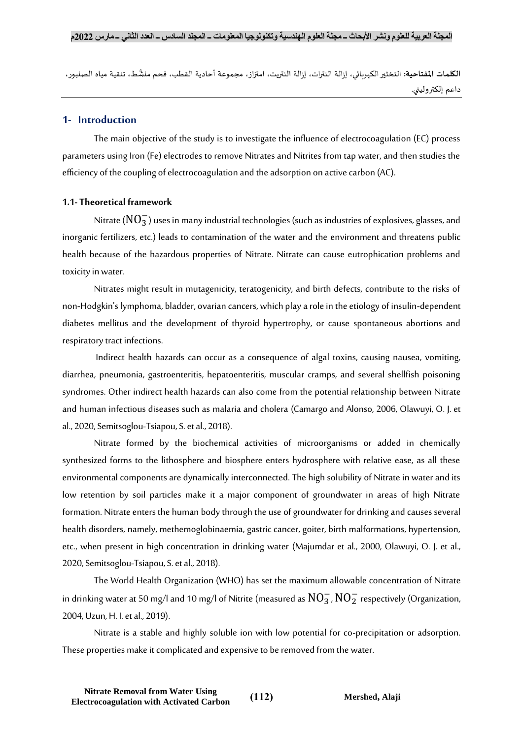َّا**لكلمات المفتاحية:** التخثير الكهربائي، إزالة النترات، إزالة النتريت، امتزاز، مجموعة أحادية القطب، فحم منشَّط، تنقية مياه الصنبور، داعم إلكتروليتي.

# **1- Introduction**

The main objective of the study is to investigate the influence of electrocoagulation (EC) process parameters using Iron (Fe) electrodes to remove Nitrates and Nitrites from tap water, and then studies the efficiency of the coupling of electrocoagulation and the adsorption on active carbon (AC).

# **1.1- Theoretical framework**

Nitrate ( $\overline{\rm NO_3^-}$ ) uses in many industrial technologies (such as industries of explosives, glasses, and inorganic fertilizers, etc.) leads to contamination of the water and the environment and threatens public health because of the hazardous properties of Nitrate. Nitrate can cause eutrophication problems and toxicity in water.

Nitrates might result in mutagenicity, teratogenicity, and birth defects, contribute to the risks of non-Hodgkin's lymphoma, bladder, ovarian cancers, which play a role in the etiology of insulin-dependent diabetes mellitus and the development of thyroid hypertrophy, or cause spontaneous abortions and respiratory tract infections.

Indirect health hazards can occur as a consequence of algal toxins, causing nausea, vomiting, diarrhea, pneumonia, gastroenteritis, hepatoenteritis, muscular cramps, and several shellfish poisoning syndromes. Other indirect health hazards can also come from the potential relationship between Nitrate and human infectious diseases such as malaria and cholera (Camargo and Alonso, 2006, Olawuyi, O. J. et al., 2020, Semitsoglou-Tsiapou, S. et al., 2018).

Nitrate formed by the biochemical activities of microorganisms or added in chemically synthesized forms to the lithosphere and biosphere enters hydrosphere with relative ease, as all these environmental components are dynamically interconnected. The high solubility of Nitrate in water and its low retention by soil particles make it a major component of groundwater in areas of high Nitrate formation. Nitrate enters the human body through the use of groundwater for drinking and causes several health disorders, namely, methemoglobinaemia, gastric cancer, goiter, birth malformations, hypertension, etc., when present in high concentration in drinking water (Majumdar et al., 2000, Olawuyi, O. J. et al., 2020, Semitsoglou-Tsiapou, S. et al., 2018).

The World Health Organization (WHO) has set the maximum allowable concentration of Nitrate in drinking water at 50 mg/l and 10 mg/l of Nitrite (measured as  $\rm NO_3^-$  ,  $\rm NO_2^-$  respectively (Organization, 2004, Uzun, H. I. et al., 2019).

Nitrate is a stable and highly soluble ion with low potential for co-precipitation or adsorption. These properties make it complicated and expensive to be removed from the water.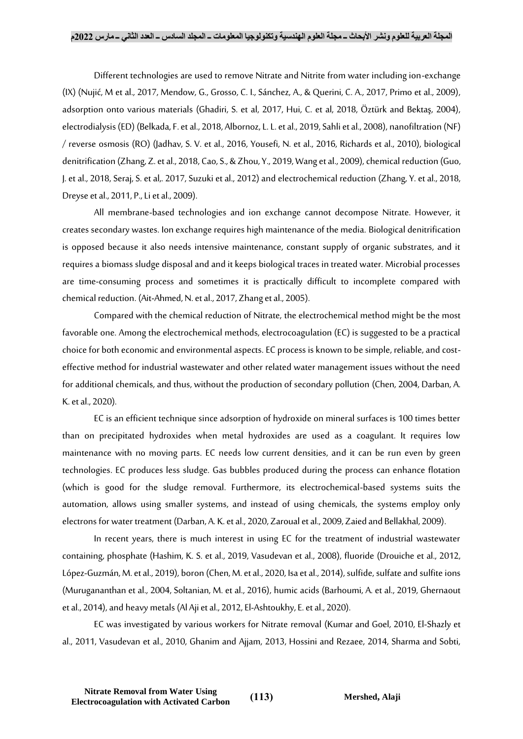#### **المجلة العربية للعلوم ونشر األبحاث ــ مجلة العلوم الهندسية وتكنولوجيا المعلومات ــ المجلد السادس ــ العدد الثاني ــ مارس 2022م**

Different technologies are used to remove Nitrate and Nitrite from water including ion-exchange (IX) (Nujić, M et al., 2017, Mendow, G., Grosso, C. I., Sánchez, A., & Querini, C. A., 2017, Primo et al., 2009), adsorption onto various materials (Ghadiri, S. et al, 2017, Hui, C. et al, 2018, Öztürk and Bektaş, 2004), electrodialysis (ED) (Belkada, F. et al., 2018, Albornoz, L. L. et al., 2019, Sahli et al., 2008), nanofiltration (NF) / reverse osmosis (RO) (Jadhav, S. V. et al., 2016, Yousefi, N. et al., 2016, Richards et al., 2010), biological denitrification (Zhang, Z. et al., 2018, Cao, S., & Zhou, Y., 2019, Wang et al., 2009), chemical reduction (Guo, J. et al., 2018, Seraj, S. et al,. 2017, Suzuki et al., 2012) and electrochemical reduction (Zhang, Y. et al., 2018, Dreyse et al., 2011, P., Li et al., 2009).

All membrane-based technologies and ion exchange cannot decompose Nitrate. However, it creates secondary wastes. Ion exchange requires high maintenance of the media. Biological denitrification is opposed because it also needs intensive maintenance, constant supply of organic substrates, and it requires a biomass sludge disposal and and it keeps biological traces in treated water. Microbial processes are time-consuming process and sometimes it is practically difficult to incomplete compared with chemical reduction. (Ait-Ahmed, N. et al., 2017, Zhang et al., 2005).

Compared with the chemical reduction of Nitrate, the electrochemical method might be the most favorable one. Among the electrochemical methods, electrocoagulation (EC) is suggested to be a practical choice for both economic and environmental aspects. EC process is known to be simple, reliable, and costeffective method for industrial wastewater and other related water management issues without the need for additional chemicals, and thus, without the production of secondary pollution (Chen, 2004, Darban, A. K. et al., 2020).

EC is an efficient technique since adsorption of hydroxide on mineral surfaces is 100 times better than on precipitated hydroxides when metal hydroxides are used as a coagulant. It requires low maintenance with no moving parts. EC needs low current densities, and it can be run even by green technologies. EC produces less sludge. Gas bubbles produced during the process can enhance flotation (which is good for the sludge removal. Furthermore, its electrochemical-based systems suits the automation, allows using smaller systems, and instead of using chemicals, the systems employ only electrons for water treatment (Darban, A. K. et al., 2020, Zaroual et al., 2009, Zaied and Bellakhal, 2009).

In recent years, there is much interest in using EC for the treatment of industrial wastewater containing, phosphate (Hashim, K. S. et al., 2019, Vasudevan et al., 2008), fluoride (Drouiche et al., 2012, López-Guzmán, M. et al., 2019), boron (Chen, M. et al., 2020, Isa et al., 2014), sulfide, sulfate and sulfite ions (Murugananthan et al., 2004, Soltanian, M. et al., 2016), humic acids (Barhoumi, A. et al., 2019, Ghernaout et al., 2014), and heavy metals (Al Aji et al., 2012,El-Ashtoukhy, E. et al., 2020).

EC was investigated by various workers for Nitrate removal (Kumar and Goel, 2010, El-Shazly et al., 2011, Vasudevan et al., 2010, Ghanim and Ajjam, 2013, Hossini and Rezaee, 2014, Sharma and Sobti,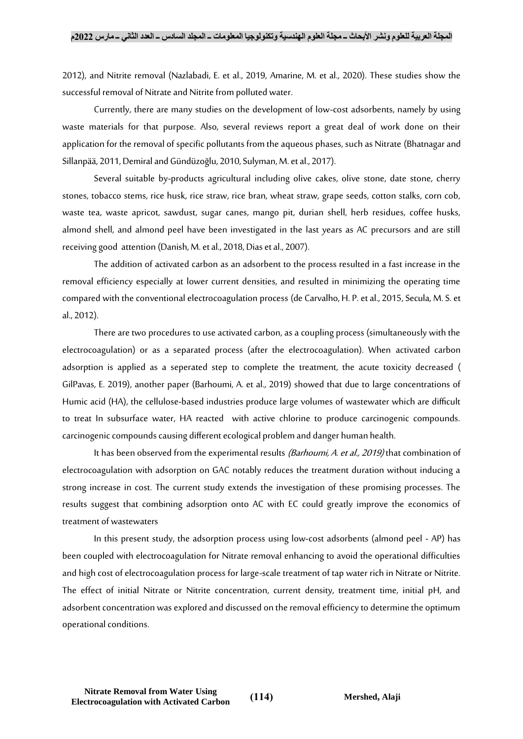2012), and Nitrite removal (Nazlabadi, E. et al., 2019, Amarine, M. et al., 2020). These studies show the successful removal of Nitrate and Nitrite from polluted water.

Currently, there are many studies on the development of low-cost adsorbents, namely by using waste materials for that purpose. Also, several reviews report a great deal of work done on their application for the removal of specific pollutants from the aqueous phases, such as Nitrate (Bhatnagar and Sillanpää, 2011, Demiral and Gündüzoğlu, 2010, Sulyman, M. et al., 2017).

Several suitable by-products agricultural including olive cakes, olive stone, date stone, cherry stones, tobacco stems, rice husk, rice straw, rice bran, wheat straw, grape seeds, cotton stalks, corn cob, waste tea, waste apricot, sawdust, sugar canes, mango pit, durian shell, herb residues, coffee husks, almond shell, and almond peel have been investigated in the last years as AC precursors and are still receiving good attention (Danish, M. et al., 2018, Dias et al., 2007).

The addition of activated carbon as an adsorbent to the process resulted in a fast increase in the removal efficiency especially at lower current densities, and resulted in minimizing the operating time compared with the conventional electrocoagulation process (de Carvalho, H. P. et al., 2015, Secula, M. S. et al., 2012).

There are two procedures to use activated carbon, as a coupling process (simultaneously with the electrocoagulation) or as a separated process (after the electrocoagulation). When activated carbon adsorption is applied as a seperated step to complete the treatment, the acute toxicity decreased ( GilPavas, E. 2019), another paper (Barhoumi, A. et al., 2019) showed that due to large concentrations of Humic acid (HA), the cellulose-based industries produce large volumes of wastewater which are difficult to treat In subsurface water, HA reacted with active chlorine to produce carcinogenic compounds. carcinogenic compounds causing different ecological problem and danger human health.

It has been observed from the experimental results *(Barhoumi, A. et al., 2019)* that combination of electrocoagulation with adsorption on GAC notably reduces the treatment duration without inducing a strong increase in cost. The current study extends the investigation of these promising processes. The results suggest that combining adsorption onto AC with EC could greatly improve the economics of treatment of wastewaters

In this present study, the adsorption process using low-cost adsorbents (almond peel - AP) has been coupled with electrocoagulation for Nitrate removal enhancing to avoid the operational difficulties and high cost of electrocoagulation process for large-scale treatment of tap water rich in Nitrate or Nitrite. The effect of initial Nitrate or Nitrite concentration, current density, treatment time, initial pH, and adsorbent concentration was explored and discussed on the removal efficiency to determine the optimum operational conditions.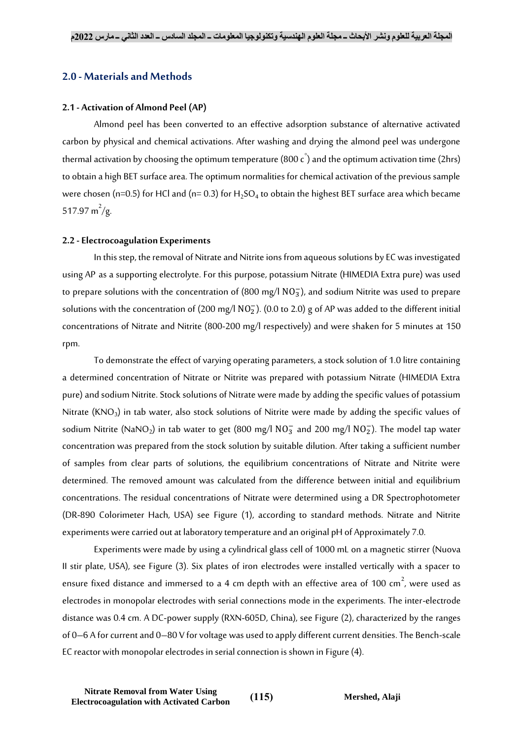# **2.0 - Materials and Methods**

#### **2.1 - Activation of Almond Peel (AP)**

Almond peel has been converted to an effective adsorption substance of alternative activated carbon by physical and chemical activations. After washing and drying the almond peel was undergone thermal activation by choosing the optimum temperature (800 c $\rq$ ) and the optimum activation time (2hrs) to obtain a high BET surface area. The optimum normalities for chemical activation of the previous sample were chosen (n=0.5) for HCl and (n= 0.3) for H<sub>2</sub>SO<sub>4</sub> to obtain the highest BET surface area which became 517.97 m<sup>2</sup>/g.

#### **2.2 -Electrocoagulation Experiments**

In this step, the removal of Nitrate and Nitrite ions from aqueous solutions by EC was investigated using AP as a supporting electrolyte. For this purpose, potassium Nitrate (HIMEDIA Extra pure) was used to prepare solutions with the concentration of (800 mg/l  $\rm NO_3^-$ ), and sodium Nitrite was used to prepare solutions with the concentration of (200 mg/l  $NO<sub>2</sub>$ ). (0.0 to 2.0) g of AP was added to the different initial concentrations of Nitrate and Nitrite (800-200 mg/l respectively) and were shaken for 5 minutes at 150 rpm.

To demonstrate the effect of varying operating parameters, a stock solution of 1.0 litre containing a determined concentration of Nitrate or Nitrite was prepared with potassium Nitrate (HIMEDIA Extra pure) and sodium Nitrite. Stock solutions of Nitrate were made by adding the specific values of potassium Nitrate (KNO<sub>3</sub>) in tab water, also stock solutions of Nitrite were made by adding the specific values of sodium Nitrite (NaNO<sub>2</sub>) in tab water to get (800 mg/l NO $_3^-$  and 200 mg/l NO $_2^-$ ). The model tap water concentration was prepared from the stock solution by suitable dilution. After taking a sufficient number of samples from clear parts of solutions, the equilibrium concentrations of Nitrate and Nitrite were determined. The removed amount was calculated from the difference between initial and equilibrium concentrations. The residual concentrations of Nitrate were determined using a DR Spectrophotometer (DR-890 Colorimeter Hach, USA) see [Figure \(1\)](#page-5-0), according to standard methods. Nitrate and Nitrite experiments were carried out at laboratory temperature and an original pH of Approximately 7.0.

Experiments were made by using a cylindrical glass cell of 1000 mL on a magnetic stirrer (Nuova II stir plate, USA), see [Figure \(3\)](#page-5-1). Six plates of iron electrodes were installed vertically with a spacer to ensure fixed distance and immersed to a 4 cm depth with an effective area of 100 cm $^2$ , were used as electrodes in monopolar electrodes with serial connections mode in the experiments. The inter-electrode distance was 0.4 cm. A DC-power supply (RXN-605D, China), see [Figure \(2\)](#page-5-2), characterized by the ranges of 0–6 A for current and 0–80 V for voltage was used to apply different current densities. The Bench-scale EC reactor with monopolar electrodes in serial connection is shown i[n Figure \(4\)](#page-5-3).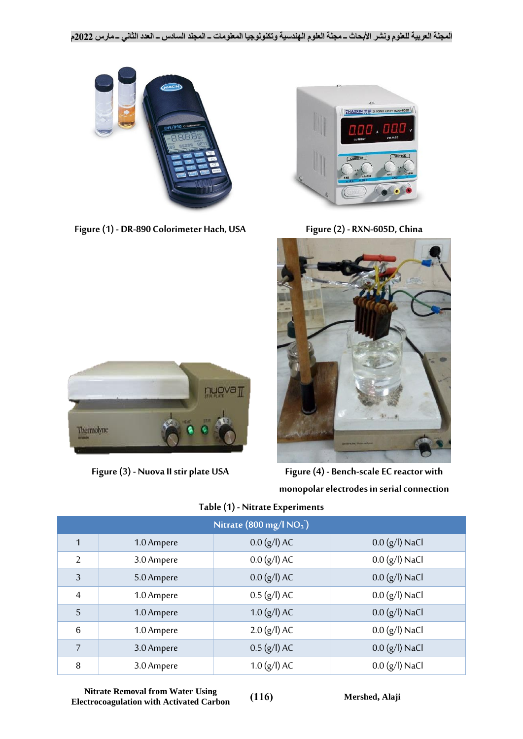

**Figure (1) - DR-890 Colorimeter Hach, USA Figure (2) - RXN-605D, China**



<span id="page-5-2"></span>

<span id="page-5-0"></span>

<span id="page-5-1"></span>**Figure (3) - Nuova II stir plate USA Figure (4) - Bench-scale EC reactor with monopolar electrodes in serial connection**

<span id="page-5-4"></span>

| Nitrate $(800 \text{ mg/l} \text{ NO}_3)$ |            |                |                  |  |
|-------------------------------------------|------------|----------------|------------------|--|
| $\mathbf{1}$                              | 1.0 Ampere | $0.0 (g/l)$ AC | $0.0$ (g/l) NaCl |  |
| 2                                         | 3.0 Ampere | $0.0 (g/l)$ AC | $0.0 (g/l)$ NaCl |  |
| $\overline{3}$                            | 5.0 Ampere | $0.0 (g/l)$ AC | $0.0 (g/l)$ NaCl |  |
| $\overline{4}$                            | 1.0 Ampere | $0.5 (g/l)$ AC | $0.0 (g/l)$ NaCl |  |
| 5                                         | 1.0 Ampere | $1.0 (g/l)$ AC | $0.0 (g/l)$ NaCl |  |
| $6\phantom{1}6$                           | 1.0 Ampere | $2.0$ (g/l) AC | $0.0 (g/l)$ NaCl |  |
| $\overline{7}$                            | 3.0 Ampere | $0.5$ (g/l) AC | $0.0 (g/l)$ NaCl |  |
| 8                                         | 3.0 Ampere | $1.0 (g/l)$ AC | $0.0 (g/l)$ NaCl |  |

# <span id="page-5-3"></span>**Table (1) - Nitrate Experiments**

**Nitrate Removal from Water Using Electrocoagulation with Activated Carbon** (116) Mershed, Alaji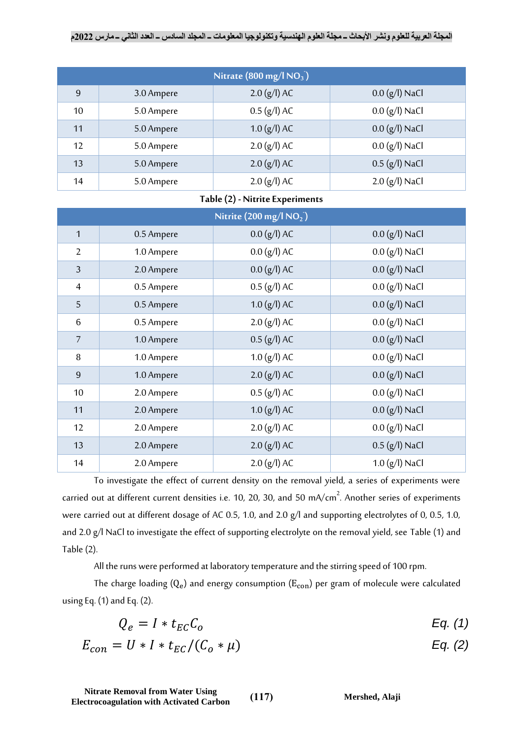# **المجلة العربية للعلوم ونشر األبحاث ــ مجلة العلوم الهندسية وتكنولوجيا المعلومات ــ المجلد السادس ــ العدد الثاني ــ مارس 2022م**

| Nitrate $(800 \text{ mg/l} \text{ NO}_3)$ |            |                |                  |  |
|-------------------------------------------|------------|----------------|------------------|--|
| 9                                         | 3.0 Ampere | $2.0$ (g/l) AC | $0.0 (g/l)$ NaCl |  |
| 10                                        | 5.0 Ampere | $0.5 (g/l)$ AC | $0.0 (g/l)$ NaCl |  |
| 11                                        | 5.0 Ampere | $1.0 (g/l)$ AC | $0.0 (g/l)$ NaCl |  |
| 12                                        | 5.0 Ampere | $2.0$ (g/l) AC | $0.0 (g/l)$ NaCl |  |
| 13                                        | 5.0 Ampere | $2.0$ (g/l) AC | $0.5$ (g/l) NaCl |  |
| 14                                        | 5.0 Ampere | $2.0$ (g/l) AC | $2.0 (g/l)$ NaCl |  |

# **Table (2) - Nitrite Experiments**

<span id="page-6-0"></span>

| Nitrite (200 mg/l $NO_2$ ) |            |                |                  |  |
|----------------------------|------------|----------------|------------------|--|
| $\mathbf{1}$               | 0.5 Ampere | $0.0 (g/l)$ AC | $0.0 (g/l)$ NaCl |  |
| $\overline{2}$             | 1.0 Ampere | $0.0 (g/l)$ AC | $0.0 (g/l)$ NaCl |  |
| $\mathfrak{Z}$             | 2.0 Ampere | $0.0 (g/l)$ AC | $0.0 (g/l)$ NaCl |  |
| $\overline{4}$             | 0.5 Ampere | $0.5$ (g/l) AC | $0.0 (g/l)$ NaCl |  |
| 5                          | 0.5 Ampere | $1.0$ (g/l) AC | $0.0$ (g/l) NaCl |  |
| 6                          | 0.5 Ampere | $2.0$ (g/l) AC | $0.0 (g/l)$ NaCl |  |
| 7                          | 1.0 Ampere | $0.5$ (g/l) AC | $0.0 (g/l)$ NaCl |  |
| 8                          | 1.0 Ampere | $1.0 (g/l)$ AC | $0.0 (g/l)$ NaCl |  |
| $\overline{9}$             | 1.0 Ampere | $2.0$ (g/l) AC | $0.0 (g/l)$ NaCl |  |
| 10                         | 2.0 Ampere | $0.5$ (g/l) AC | $0.0 (g/l)$ NaCl |  |
| 11                         | 2.0 Ampere | $1.0 (g/l)$ AC | $0.0 (g/l)$ NaCl |  |
| 12                         | 2.0 Ampere | $2.0$ (g/l) AC | $0.0 (g/l)$ NaCl |  |
| 13                         | 2.0 Ampere | $2.0$ (g/l) AC | $0.5$ (g/l) NaCl |  |
| 14                         | 2.0 Ampere | $2.0$ (g/l) AC | $1.0 (g/l)$ NaCl |  |

To investigate the effect of current density on the removal yield, a series of experiments were carried out at different current densities i.e. 10, 20, 30, and 50 mA/cm $^2$ . Another series of experiments were carried out at different dosage of AC 0.5, 1.0, and 2.0 g/l and supporting electrolytes of 0, 0.5, 1.0, and 2.0 g/l NaCl to investigate the effect of supporting electrolyte on the removal yield, see [Table \(1\)](#page-5-4) and [Table \(2\)](#page-6-0).

All the runs were performed at laboratory temperature and the stirring speed of 100 rpm.

The charge loading  $(Q_e)$  and energy consumption  $(E_{\rm con})$  per gram of molecule were calculated usin[g Eq. \(1\)](#page-6-1) an[d Eq. \(2\)](#page-6-2).

$$
Q_e = I * t_{EC} C_o \tEq. (1)
$$

$$
E_{con} = U * I * t_{EC}/(C_o * \mu)
$$
 Eq. (2)

**Nitrate Removal from Water Using Electrocoagulation with Activated Carbon** (117) **Mershed**, Alaji

<span id="page-6-2"></span><span id="page-6-1"></span>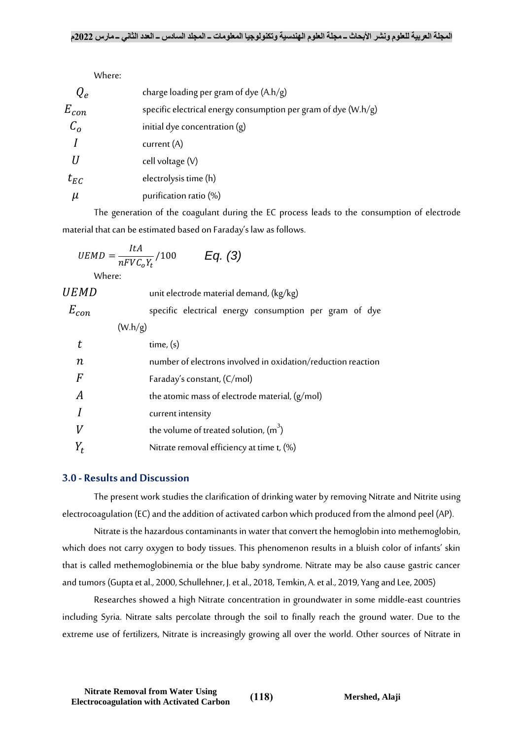|              | Where:                                                           |
|--------------|------------------------------------------------------------------|
| $Q_e$        | charge loading per gram of dye $(A.h/g)$                         |
| $E_{con}$    | specific electrical energy consumption per gram of dye $(W.h/g)$ |
| $C_{\alpha}$ | initial dye concentration $(g)$                                  |
|              | current $(A)$                                                    |
|              | cell voltage (V)                                                 |
| $t_{EC}$     | electrolysis time (h)                                            |
| $\mu$        | purification ratio (%)                                           |

The generation of the coagulant during the EC process leads to the consumption of electrode material that can be estimated based on Faraday's law as follows.

$$
UEMD = \frac{ItA}{nFVC_0Y_t}/100 \qquad Eq. (3)
$$

Where:

| <i>UEMD</i>      | unit electrode material demand, (kg/kg)                      |
|------------------|--------------------------------------------------------------|
| $E_{con}$        | specific electrical energy consumption per gram of dye       |
|                  | (W.h/g)                                                      |
| t                | time, (s)                                                    |
| $\boldsymbol{n}$ | number of electrons involved in oxidation/reduction reaction |
| F                | Faraday's constant, (C/mol)                                  |
| А                | the atomic mass of electrode material, (g/mol)               |
|                  | current intensity                                            |
| V                | the volume of treated solution, $(m^3)$                      |
|                  | Nitrate removal efficiency at time t, (%)                    |

# **3.0 - Results and Discussion**

The present work studies the clarification of drinking water by removing Nitrate and Nitrite using electrocoagulation (EC) and the addition of activated carbon which produced from the almond peel (AP).

Nitrate is the hazardous contaminants in water that convert the hemoglobin into methemoglobin, which does not carry oxygen to body tissues. This phenomenon results in a bluish color of infants' skin that is called methemoglobinemia or the blue baby syndrome. Nitrate may be also cause gastric cancer and tumors (Gupta et al., 2000, Schullehner, J. et al., 2018, Temkin, A. et al., 2019, Yang and Lee, 2005)

Researches showed a high Nitrate concentration in groundwater in some middle-east countries including Syria. Nitrate salts percolate through the soil to finally reach the ground water. Due to the extreme use of fertilizers, Nitrate is increasingly growing all over the world. Other sources of Nitrate in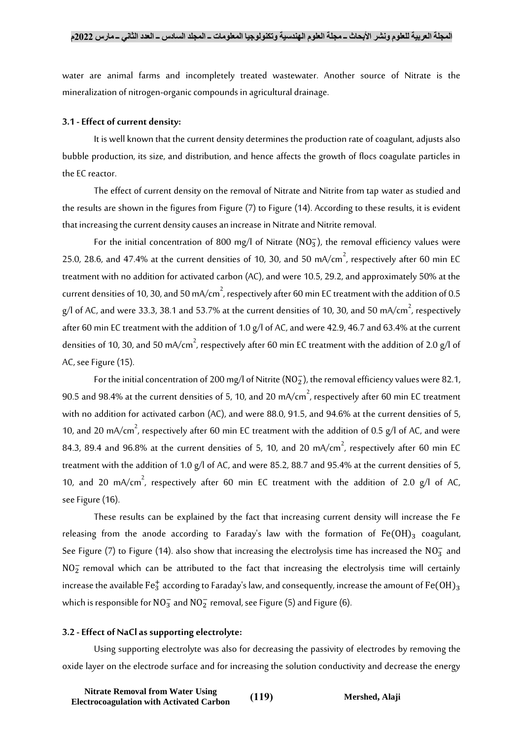water are animal farms and incompletely treated wastewater. Another source of Nitrate is the mineralization of nitrogen-organic compounds in agricultural drainage.

## **3.1 -Effect of current density:**

It is well known that the current density determines the production rate of coagulant, adjusts also bubble production, its size, and distribution, and hence affects the growth of flocs coagulate particles in the EC reactor.

The effect of current density on the removal of Nitrate and Nitrite from tap water as studied and the results are shown in the figures from [Figure \(7\)](#page-12-0) t[o Figure \(14\)](#page-12-1). According to these results, it is evident that increasing the current density causes an increase in Nitrate and Nitrite removal.

For the initial concentration of 800 mg/l of Nitrate ( $NO<sub>3</sub>$ ), the removal efficiency values were 25.0, 28.6, and 47.4% at the current densities of 10, 30, and 50 mA/cm $^2$ , respectively after 60 min EC treatment with no addition for activated carbon (AC), and were 10.5, 29.2, and approximately 50% at the current densities of 10, 30, and 50 mA/cm $^2$ , respectively after 60 min EC treatment with the addition of 0.5  $\,$ g/l of AC, and were 33.3, 38.1 and 53.7% at the current densities of 10, 30, and 50 mA/cm $^2$ , respectively after 60 min EC treatment with the addition of 1.0 g/l of AC, and were 42.9, 46.7 and 63.4% at the current densities of 10, 30, and 50 mA/cm $^2$ , respectively after 60 min EC treatment with the addition of 2.0 g/l of AC, see [Figure \(15\)](#page-13-0).

For the initial concentration of 200 mg/l of Nitrite ( $NO<sub>2</sub>$ ), the removal efficiency values were 82.1, 90.5 and 98.4% at the current densities of 5, 10, and 20 mA/cm $^2$ , respectively after 60 min EC treatment with no addition for activated carbon (AC), and were 88.0, 91.5, and 94.6% at the current densities of 5, 10, and 20 mA/cm $^2$ , respectively after 60 min EC treatment with the addition of 0.5 g/l of AC, and were 84.3, 89.4 and 96.8% at the current densities of 5, 10, and 20 mA/cm $^2$ , respectively after 60 min EC treatment with the addition of 1.0 g/l of AC, and were 85.2, 88.7 and 95.4% at the current densities of 5, 10, and 20 mA/cm<sup>2</sup>, respectively after 60 min EC treatment with the addition of 2.0 g/l of AC, se[e Figure \(16\)](#page-13-1).

These results can be explained by the fact that increasing current density will increase the Fe releasing from the anode according to Faraday's law with the formation of  $Fe(OH)_3$  coagulant, See [Figure \(7\)](#page-12-0) to [Figure \(14\)](#page-12-1). also show that increasing the electrolysis time has increased the  $\rm NO_3^-$  and  $NO<sub>2</sub><sup>-</sup>$  removal which can be attributed to the fact that increasing the electrolysis time will certainly increase the available Fe $_3^+$  according to Faraday's law, and consequently, increase the amount of Fe(OH) $_3$ which is responsible for  $\mathrm{NO_3^-}$  and  $\mathrm{NO_2^-}$  removal, se[e Figure \(5\)](#page-11-0) an[d Figure \(6\)](#page-11-1).

#### **3.2 -Effect of NaCl as supporting electrolyte:**

Using supporting electrolyte was also for decreasing the passivity of electrodes by removing the oxide layer on the electrode surface and for increasing the solution conductivity and decrease the energy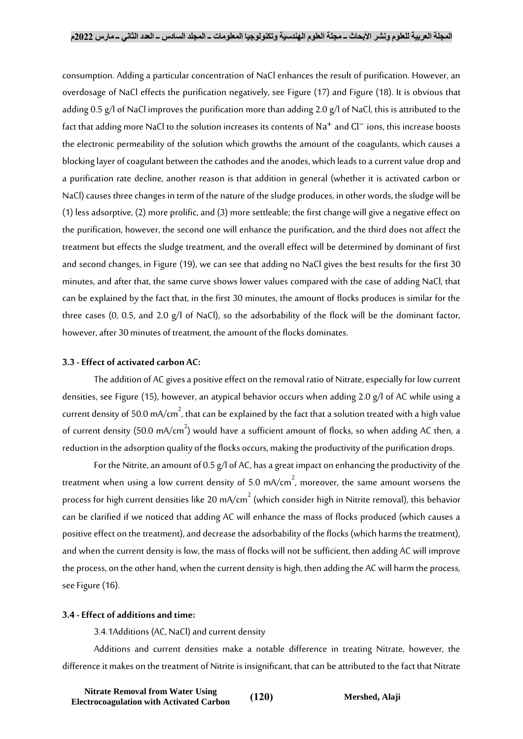consumption. Adding a particular concentration of NaCl enhances the result of purification. However, an overdosage of NaCl effects the purification negatively, see [Figure \(17\)](#page-13-2) and [Figure \(18\)](#page-13-3). It is obvious that adding 0.5 g/l of NaCl improves the purification more than adding 2.0 g/l of NaCl, this is attributed to the fact that adding more NaCl to the solution increases its contents of Na<sup>+</sup> and Cl<sup>−</sup> ions, this increase boosts the electronic permeability of the solution which growths the amount of the coagulants, which causes a blocking layer of coagulant between the cathodes and the anodes, which leads to a current value drop and a purification rate decline, another reason is that addition in general (whether it is activated carbon or NaCl) causes three changes in term of the nature of the sludge produces, in other words, the sludge will be (1) less adsorptive, (2) more prolific, and (3) more settleable; the first change will give a negative effect on the purification, however, the second one will enhance the purification, and the third does not affect the treatment but effects the sludge treatment, and the overall effect will be determined by dominant of first and second changes, in [Figure \(19\)](#page-14-0), we can see that adding no NaCl gives the best results for the first 30 minutes, and after that, the same curve shows lower values compared with the case of adding NaCl, that can be explained by the fact that, in the first 30 minutes, the amount of flocks produces is similar for the three cases (0, 0.5, and 2.0 g/l of NaCl), so the adsorbability of the flock will be the dominant factor, however, after 30 minutes of treatment, the amount of the flocks dominates.

## **3.3 -Effect of activated carbon AC:**

The addition of AC gives a positive effect on the removal ratio of Nitrate, especially for low current densities, see [Figure \(15\)](#page-13-0), however, an atypical behavior occurs when adding 2.0 g/l of AC while using a current density of 50.0 mA/cm $^2$ , that can be explained by the fact that a solution treated with a high value of current density (50.0 mA/cm $^2$ ) would have a sufficient amount of flocks, so when adding AC then, a reduction in the adsorption quality of the flocks occurs, making the productivity of the purification drops.

For the Nitrite, an amount of 0.5 g/l of AC, has a great impact on enhancing the productivity of the treatment when using a low current density of 5.0 mA/cm $^2$ , moreover, the same amount worsens the process for high current densities like 20 mA/cm $^{2}$  (which consider high in Nitrite removal), this behavior can be clarified if we noticed that adding AC will enhance the mass of flocks produced (which causes a positive effect on the treatment), and decrease the adsorbability of the flocks (which harms the treatment), and when the current density is low, the mass of flocks will not be sufficient, then adding AC will improve the process, on the other hand, when the current density is high, then adding the AC will harm the process, se[e Figure \(16\)](#page-13-1).

## **3.4 -Effect of additions and time:**

3.4.1Additions (AC, NaCl) and current density

Additions and current densities make a notable difference in treating Nitrate, however, the difference it makes on the treatment of Nitrite is insignificant, that can be attributed to the fact that Nitrate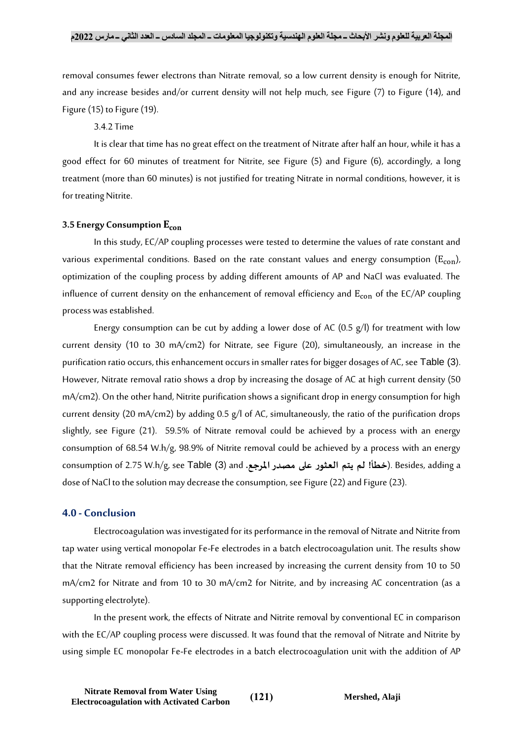removal consumes fewer electrons than Nitrate removal, so a low current density is enough for Nitrite, and any increase besides and/or current density will not help much, see [Figure \(7\)](#page-12-0) to [Figure \(14\)](#page-12-1), and [Figure \(15\)](#page-13-0) t[o Figure \(19\)](#page-14-0).

#### 3.4.2 Time

It is clear that time has no great effect on the treatment of Nitrate after half an hour, while it has a good effect for 60 minutes of treatment for Nitrite, see [Figure \(5\)](#page-11-0) and [Figure \(6\)](#page-11-1), accordingly, a long treatment (more than 60 minutes) is not justified for treating Nitrate in normal conditions, however, it is for treating Nitrite.

#### **3.5 Energy Consumption**

In this study, EC/AP coupling processes were tested to determine the values of rate constant and various experimental conditions. Based on the rate constant values and energy consumption  $(E_{con})$ , optimization of the coupling process by adding different amounts of AP and NaCl was evaluated. The influence of current density on the enhancement of removal efficiency and  $E_{con}$  of the EC/AP coupling process was established.

Energy consumption can be cut by adding a lower dose of AC (0.5  $g$ /l) for treatment with low current density (10 to 30 mA/cm2) for Nitrate, see [Figure \(20\)](#page-15-0), simultaneously, an increase in the purification ratio occurs, this enhancement occurs in smaller rates for bigger dosages of AC, see [Table \(3](#page-16-0)). However, Nitrate removal ratio shows a drop by increasing the dosage of AC at high current density (50 mA/cm2). On the other hand, Nitrite purification shows a significant drop in energy consumption for high current density (20 mA/cm2) by adding 0.5 g/l of AC, simultaneously, the ratio of the purification drops slightly, see [Figure \(21\)](#page-15-1). 59.5% of Nitrate removal could be achieved by a process with an energy consumption of 68.54 W.h/g, 98.9% of Nitrite removal could be achieved by a process with an energy consumption of 2.75 W.h/g, see [Table \(3](#page-16-0)) and **.مصدراملرجع على العثور يتم لم! خطأ**(. Besides, adding a dose of NaCl to the solution may decrease the consumption, see [Figure \(22\)](#page-15-2) and [Figure \(23\)](#page-15-3).

# **4.0 - Conclusion**

Electrocoagulation was investigated for its performance in the removal of Nitrate and Nitrite from tap water using vertical monopolar Fe-Fe electrodes in a batch electrocoagulation unit. The results show that the Nitrate removal efficiency has been increased by increasing the current density from 10 to 50 mA/cm2 for Nitrate and from 10 to 30 mA/cm2 for Nitrite, and by increasing AC concentration (as a supporting electrolyte).

In the present work, the effects of Nitrate and Nitrite removal by conventional EC in comparison with the EC/AP coupling process were discussed. It was found that the removal of Nitrate and Nitrite by using simple EC monopolar Fe-Fe electrodes in a batch electrocoagulation unit with the addition of AP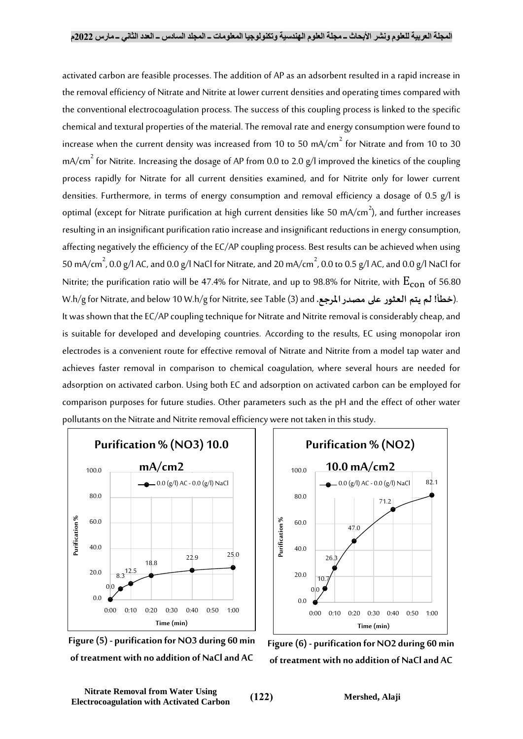activated carbon are feasible processes. The addition of AP as an adsorbent resulted in a rapid increase in the removal efficiency of Nitrate and Nitrite at lower current densities and operating times compared with the conventional electrocoagulation process. The success of this coupling process is linked to the specific chemical and textural properties of the material. The removal rate and energy consumption were found to increase when the current density was increased from 10 to 50 mA/cm $^2$  for Nitrate and from 10 to 30 mA/cm $^{2}$  for Nitrite. Increasing the dosage of AP from 0.0 to 2.0 g/l improved the kinetics of the coupling process rapidly for Nitrate for all current densities examined, and for Nitrite only for lower current densities. Furthermore, in terms of energy consumption and removal efficiency a dosage of 0.5 g/l is optimal (except for Nitrate purification at high current densities like 50 mA/cm $^2$ ), and further increases resulting in an insignificant purification ratio increase and insignificant reductions in energy consumption, affecting negatively the efficiency of the EC/AP coupling process. Best results can be achieved when using 50 mA/cm $^2$ , 0.0 g/l AC, and 0.0 g/l NaCl for Nitrate, and 20 mA/cm $^2$ , 0.0 to 0.5 g/l AC, and 0.0 g/l NaCl for Nitrite; the purification ratio will be 47.4% for Nitrate, and up to 98.8% for Nitrite, with  $E_{con}$  of 56.80 W.h/g for Nitrate, and below 10 W.h/g for Nitrite, se[e Table \(3\)](#page-16-0) and **.مصدراملرجع على العثور يتم لم! خطأ**(. It was shown that the EC/AP coupling technique for Nitrate and Nitrite removal is considerably cheap, and is suitable for developed and developing countries. According to the results, EC using monopolar iron electrodes is a convenient route for effective removal of Nitrate and Nitrite from a model tap water and achieves faster removal in comparison to chemical coagulation, where several hours are needed for adsorption on activated carbon. Using both EC and adsorption on activated carbon can be employed for comparison purposes for future studies. Other parameters such as the pH and the effect of other water pollutants on the Nitrate and Nitrite removal efficiency were not taken in this study.





<span id="page-11-0"></span>**Figure (5) - purification for NO3 during 60 min of treatment with no addition of NaCl and AC**

<span id="page-11-1"></span>**Figure (6) - purification for NO2 during 60 min of treatment with no addition of NaCl and AC**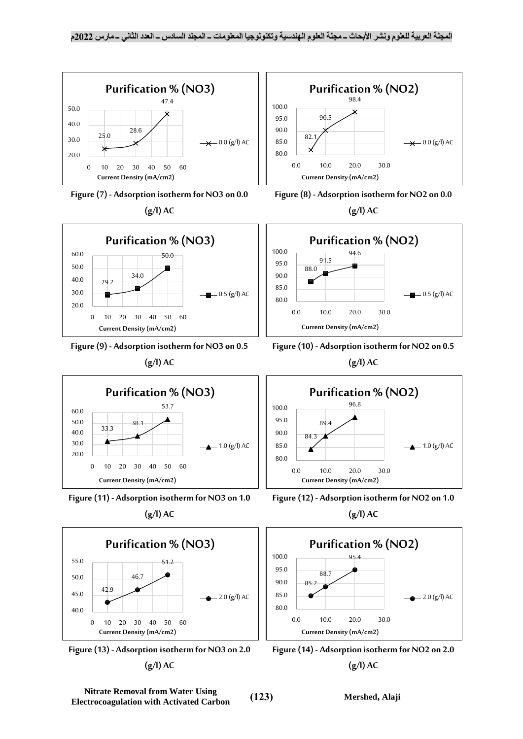<span id="page-12-4"></span><span id="page-12-3"></span><span id="page-12-2"></span><span id="page-12-0"></span>

<span id="page-12-7"></span><span id="page-12-6"></span><span id="page-12-5"></span><span id="page-12-1"></span>**Nitrate Removal from Water Using Electrocoagulation with Activated Carbon** (123) Mershed, Alaji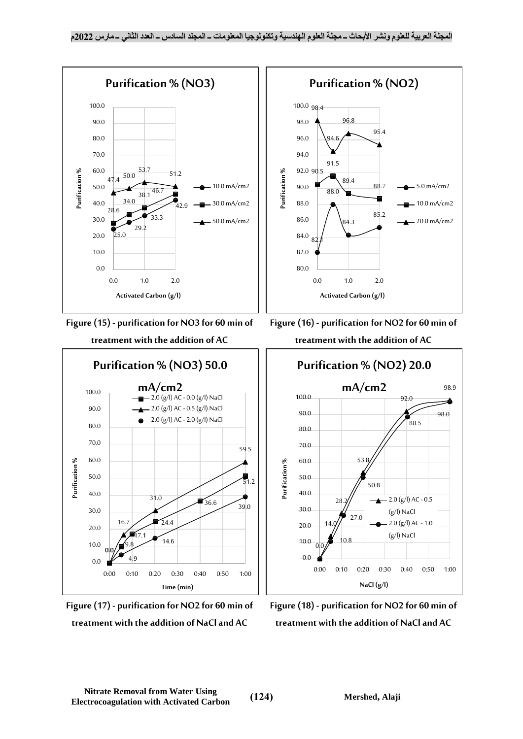<span id="page-13-0"></span>

<span id="page-13-2"></span>**Figure (17) - purification for NO2 for 60 min of treatment with the addition of NaCl and AC**

<span id="page-13-3"></span><span id="page-13-1"></span>**Figure (18) - purification for NO2 for 60 min of treatment with the addition of NaCl and AC**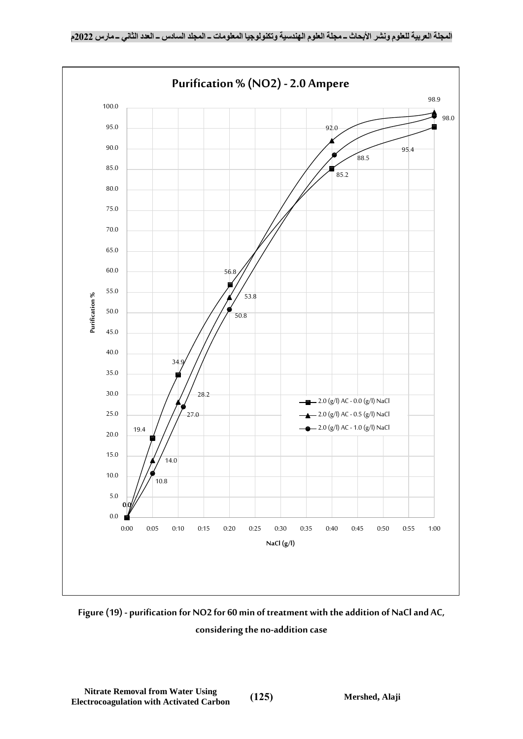

<span id="page-14-0"></span>**Figure (19) - purification for NO2 for 60 min of treatment with the addition of NaCl and AC, considering the no-addition case**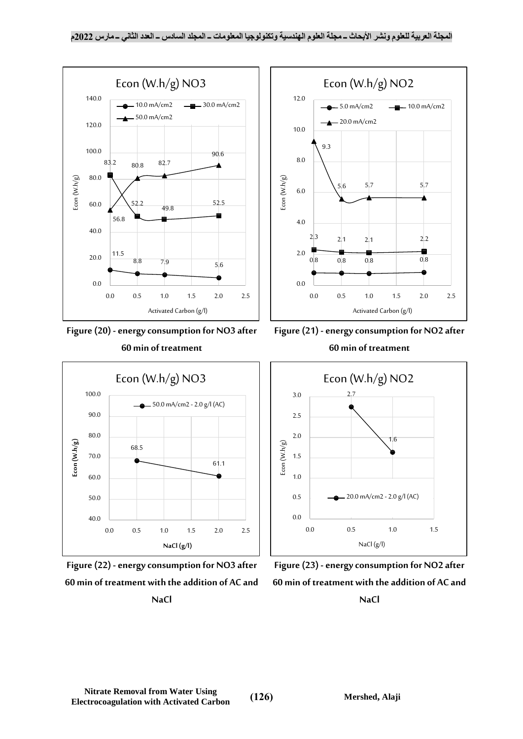

<span id="page-15-0"></span>



<span id="page-15-2"></span>**Figure (22) -energy consumption for NO3 after 60 min of treatment with the addition of AC and NaCl**



<span id="page-15-1"></span>



<span id="page-15-3"></span>**Figure (23) -energy consumption for NO2 after 60 min of treatment with the addition of AC and NaCl**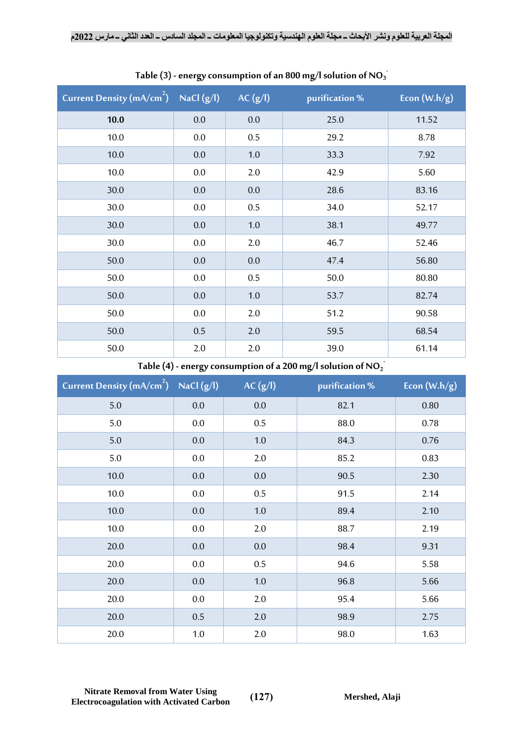| Current Density $(mA/cm^2)$ NaCl $(g/l)$ |         | AC(g/I) | purification % | Econ $(W.h/g)$ |
|------------------------------------------|---------|---------|----------------|----------------|
| 10.0                                     | 0.0     | 0.0     | 25.0           | 11.52          |
| 10.0                                     | $0.0\,$ | 0.5     | 29.2           | 8.78           |
| 10.0                                     | 0.0     | 1.0     | 33.3           | 7.92           |
| 10.0                                     | $0.0\,$ | 2.0     | 42.9           | 5.60           |
| 30.0                                     | 0.0     | 0.0     | 28.6           | 83.16          |
| 30.0                                     | $0.0\,$ | 0.5     | 34.0           | 52.17          |
| 30.0                                     | 0.0     | $1.0\,$ | 38.1           | 49.77          |
| 30.0                                     | $0.0\,$ | 2.0     | 46.7           | 52.46          |
| 50.0                                     | 0.0     | 0.0     | 47.4           | 56.80          |
| 50.0                                     | $0.0\,$ | 0.5     | 50.0           | 80.80          |
| 50.0                                     | 0.0     | $1.0\,$ | 53.7           | 82.74          |
| 50.0                                     | $0.0\,$ | 2.0     | 51.2           | 90.58          |
| 50.0                                     | 0.5     | 2.0     | 59.5           | 68.54          |
| 50.0                                     | 2.0     | 2.0     | 39.0           | 61.14          |

<span id="page-16-0"></span>Table (3) - energy consumption of an 800 mg/l solution of NO $_3^{\cdot}$ 

Table (4) - energy consumption of a 200 mg/l solution of NO<sub>2</sub>

| Current Density (mA/cm <sup>2</sup> ) NaCl (g/l) |         | AC(g/I) | purification % | Econ $(W.h/g)$ |
|--------------------------------------------------|---------|---------|----------------|----------------|
| 5.0                                              | 0.0     | 0.0     | 82.1           | 0.80           |
| $5.0$                                            | $0.0\,$ | 0.5     | 88.0           | 0.78           |
| $5.0\,$                                          | 0.0     | 1.0     | 84.3           | 0.76           |
| $5.0\,$                                          | 0.0     | 2.0     | 85.2           | 0.83           |
| 10.0                                             | 0.0     | 0.0     | 90.5           | 2.30           |
| 10.0                                             | $0.0\,$ | 0.5     | 91.5           | 2.14           |
| 10.0                                             | 0.0     | 1.0     | 89.4           | 2.10           |
| 10.0                                             | 0.0     | 2.0     | 88.7           | 2.19           |
| 20.0                                             | 0.0     | 0.0     | 98.4           | 9.31           |
| 20.0                                             | 0.0     | 0.5     | 94.6           | 5.58           |
| 20.0                                             | $0.0\,$ | 1.0     | 96.8           | 5.66           |
| 20.0                                             | 0.0     | 2.0     | 95.4           | 5.66           |
| 20.0                                             | $0.5\,$ | 2.0     | 98.9           | 2.75           |
| 20.0                                             | 1.0     | 2.0     | 98.0           | 1.63           |

**Nitrate Removal from Water Using Electrocoagulation with Activated Carbon** (127) Mershed, Alaji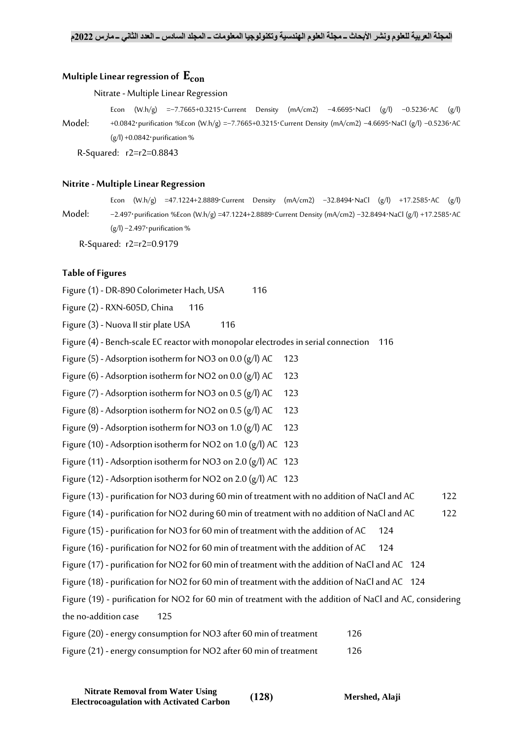## **Multiple Linear regression of**

#### Nitrate -Multiple Linear Regression

Model: Econ (W.h/g) =−7.7665+0.3215⋅Current Density (mA/cm2) −4.6695⋅NaCl (g/l) −0.5236⋅AC (g/l) +0.0842⋅purification %Econ (W.h/g) =−7.7665+0.3215⋅Current Density (mA/cm2) −4.6695⋅NaCl (g/l) −0.5236⋅AC (g/l) +0.0842⋅purification %

R-Squared: r2=r2=0.8843

#### **Nitrite - Multiple Linear Regression**

Model:

Econ (W.h/g) =47.1224+2.8889⋅Current Density (mA/cm2) −32.8494⋅NaCl (g/l) +17.2585⋅AC (g/l) −2.497⋅purification %Econ (W.h/g) =47.1224+2.8889⋅Current Density (mA/cm2) −32.8494⋅NaCl (g/l) +17.2585⋅AC (g/l) −2.497⋅purification %

R-Squared: r2=r2=0.9179

## **Table of Figures**

Figure (1) - [DR-890 Colorimeter Hach, USA](#page-5-0) 116

Figure (2) - [RXN-605D, China](#page-5-2) 116

- Figure (3) [Nuova II stir plate USA](#page-5-1) 116
- Figure (4) [Bench-scale EC reactor with monopolar electrodes in serial connection](#page-5-3) 116

Figure (5) - Adsorption isotherm for NO3 on  $0.0$  (g/l) AC 123

Figure (6) - Adsorption isotherm for NO2 on  $0.0$  (g/l) AC 123

Figure (7) - Adsorption isotherm for NO3 on  $0.5$  (g/l) AC 123

- Figure (8) Adsorption isotherm for NO2 on  $0.5$  (g/l) AC 123
- Figure (9) Adsorption isotherm for NO3 on 1.0  $(g/l)$  AC 123
- Figure (10) [Adsorption isotherm for NO2 on 1.0 \(g/l\) AC](#page-12-6) 123
- Figure (11) [Adsorption isotherm for NO3 on 2.0 \(g/l\) AC](#page-12-7) 123
- Figure (12) [Adsorption isotherm for NO2 on 2.0 \(g/l\) AC](#page-12-1) 123
- Figure (13) purification for NO3 [during 60 min of treatment with no addition of NaCl and AC](#page-11-0) 122
- Figure (14) [purification for NO2 during 60 min of](#page-11-1) treatment with no addition of NaCl and AC 122
- Figure (15) purification [for NO3 for 60 min of treatment with the addition of AC](#page-13-0) 124
- Figure (16) purification [for NO2 for 60 min of treatment with the addition of AC](#page-13-1) 124
- Figure (17) [purification for NO2 for 60 min of treatment with the addition of NaCl and AC](#page-13-2) 124
- Figure (18) [purification for NO2 for 60 min of treatment with the addition of NaCl and AC](#page-13-3) 124
- Figure (19) [purification for NO2 for 60 min of treatment with the addition of NaCl and AC, considering](#page-14-0)  [the no-addition case](#page-14-0) 125

| Figure (20) - energy consumption for NO3 after 60 min of treatment | 126 |
|--------------------------------------------------------------------|-----|
| Figure (21) - energy consumption for NO2 after 60 min of treatment | 126 |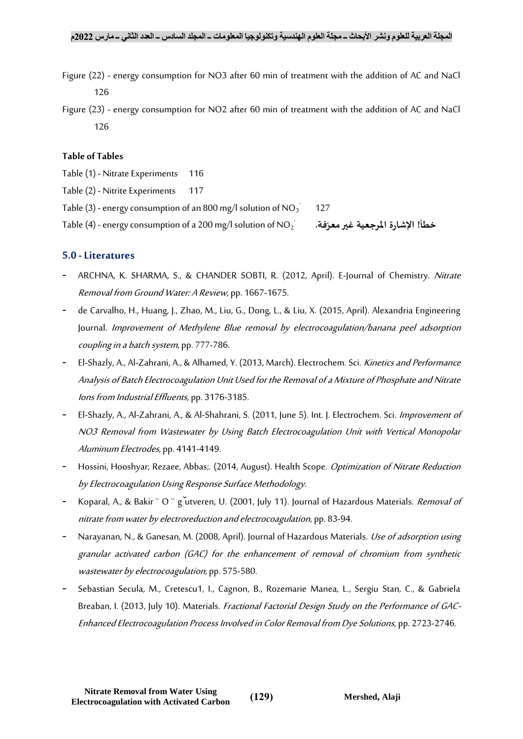- Figure (22) [energy consumption for NO3 after 60 min of treatment with the addition of AC and NaCl](#page-15-2) [126](#page-15-2)
- Figure (23) [energy consumption for NO2 after 60 min of treatment with the addition of AC and NaCl](#page-15-3) [126](#page-15-3)

# **Table of Tables**

- Table (1) [Nitrate Experiments](#page-5-4) 116
- Table (2) [Nitrite Experiments](#page-6-0) 117
- Table (3) energy consumption of an 800 mg/l solution of NO $_3^{\cdot}$ 127
- Table (4) energy consumption of a 200 mg/l solution of NO $_2^{\pm}$

**خطأ! اإلشارة املرجعية غي فة. رمعر ّ**

# **5.0 -Literatures**

- ARCHNA, K. SHARMA, S., & CHANDER SOBTI, R. (2012, April). E-Journal of Chemistry. Nitrate Removal from Ground Water: A Review, pp. 1667-1675.
- de Carvalho, H., Huang, J., Zhao, M., Liu, G., Dong, L., & Liu, X. (2015, April). Alexandria Engineering Journal. Improvement of Methylene Blue removal by electrocoagulation/banana peel adsorption coupling in a batch system, pp. 777-786.
- El-Shazly, A., Al-Zahrani, A., & Alhamed, Y. (2013, March). Electrochem. Sci. Kinetics and Performance Analysis of Batch Electrocoagulation Unit Used for the Removal of a Mixture of Phosphate and Nitrate Ions from Industrial Effluents, pp. 3176-3185.
- El-Shazly, A., Al-Zahrani, A., & Al-Shahrani, S. (2011, June 5). Int. J. Electrochem. Sci. Improvement of NO3 Removal from Wastewater by Using Batch Electrocoagulation Unit with Vertical Monopolar Aluminum Electrodes, pp. 4141-4149.
- Hossini, Hooshyar; Rezaee, Abbas;. (2014, August). Health Scope. *Optimization of Nitrate Reduction* by Electrocoagulation Using Response Surface Methodology.
- Koparal, A., & Bakir <sup>"</sup> O <sup>"</sup> g utveren, U. (2001, July 11). Journal of Hazardous Materials. *Removal of* nitrate from water by electroreduction and electrocoagulation, pp. 83-94.
- Narayanan, N., & Ganesan, M. (2008, April). Journal of Hazardous Materials. Use of adsorption using granular activated carbon (GAC) for the enhancement of removal of chromium from synthetic wastewater by electrocoagulation, pp. 575-580.
- Sebastian Secula, M., Cretescu1, I., Cagnon, B., Rozemarie Manea, L., Sergiu Stan, C., & Gabriela Breaban, I. (2013, July 10). Materials. Fractional Factorial Design Study on the Performance of GAC-Enhanced Electrocoagulation Process Involved in Color Removal from Dye Solutions, pp. 2723-2746.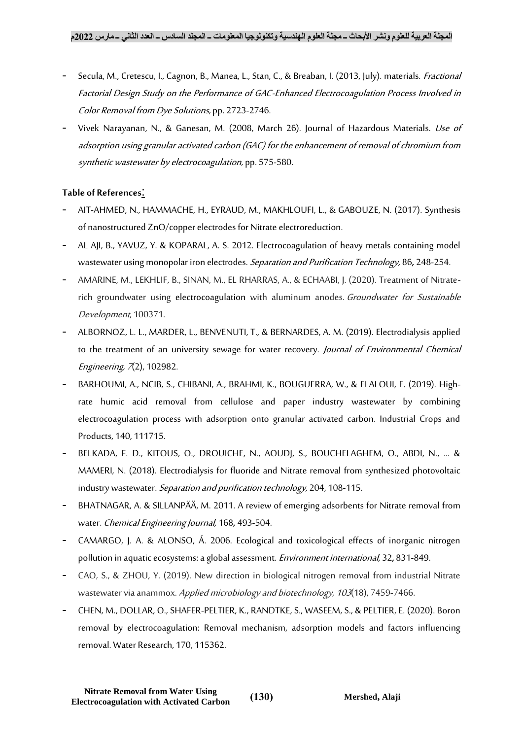- Secula, M., Cretescu, I., Cagnon, B., Manea, L., Stan, C., & Breaban, I. (2013, July). materials. Fractional Factorial Design Study on the Performance of GAC-Enhanced Electrocoagulation Process Involved in Color Removal from Dye Solutions, pp. 2723-2746.
- Vivek Narayanan, N., & Ganesan, M. (2008, March 26). Journal of Hazardous Materials. Use of adsorption using granular activated carbon (GAC) for the enhancement of removal of chromium from synthetic wastewater by electrocoagulation, pp. 575-580.

# **Table of References**:

- AIT-AHMED, N., HAMMACHE, H., EYRAUD, M., MAKHLOUFI, L., & GABOUZE, N. (2017). Synthesis of nanostructured ZnO/copper electrodes for Nitrate electroreduction.
- AL AJI, B., YAVUZ, Y. & KOPARAL, A. S. 2012. Electrocoagulation of heavy metals containing model wastewater using monopolar iron electrodes. Separation and Purification Technology, 86**,** 248-254.
- AMARINE, M., LEKHLIF, B., SINAN, M., EL RHARRAS, A., & ECHAABI, J. (2020). Treatment of Nitraterich groundwater using electrocoagulation with aluminum anodes. Groundwater for Sustainable Development, 100371.
- ALBORNOZ, L. L., MARDER, L., BENVENUTI, T., & BERNARDES, A. M. (2019). Electrodialysis applied to the treatment of an university sewage for water recovery. Journal of Environmental Chemical Engineering, 7(2), 102982.
- BARHOUMI, A., NCIB, S., CHIBANI, A., BRAHMI, K., BOUGUERRA, W., & ELALOUI, E. (2019). Highrate humic acid removal from cellulose and paper industry wastewater by combining electrocoagulation process with adsorption onto granular activated carbon. Industrial Crops and Products, 140, 111715.
- BELKADA, F. D., KITOUS, O., DROUICHE, N., AOUDJ, S., BOUCHELAGHEM, O., ABDI, N., ... & MAMERI, N. (2018). Electrodialysis for fluoride and Nitrate removal from synthesized photovoltaic industry wastewater. Separation and purification technology, 204, 108-115.
- BHATNAGAR, A. & SILLANPÄÄ, M. 2011. A review of emerging adsorbents for Nitrate removal from water. Chemical Engineering Journal, 168**,** 493-504.
- CAMARGO, J. A. & ALONSO, Á. 2006. Ecological and toxicological effects of inorganic nitrogen pollution in aquatic ecosystems: a global assessment. Environment international, 32**,** 831-849.
- CAO, S., & ZHOU, Y. (2019). New direction in biological nitrogen removal from industrial Nitrate wastewater via anammox. Applied microbiology and biotechnology, <sup>103</sup>(18), 7459-7466.
- CHEN, M., DOLLAR, O., SHAFER-PELTIER, K., RANDTKE, S., WASEEM, S., & PELTIER, E. (2020). Boron removal by electrocoagulation: Removal mechanism, adsorption models and factors influencing removal. Water Research, 170, 115362.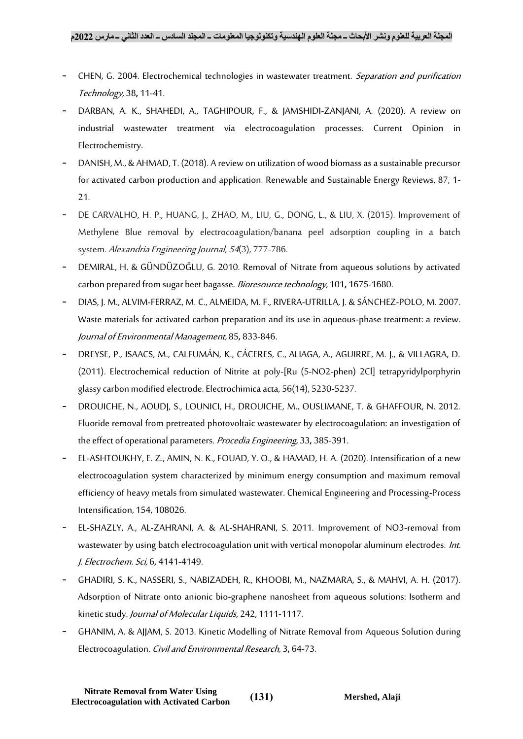- CHEN, G. 2004. Electrochemical technologies in wastewater treatment. Separation and purification Technology, 38**,** 11-41.
- DARBAN, A. K., SHAHEDI, A., TAGHIPOUR, F., & JAMSHIDI-ZANJANI, A. (2020). A review on industrial wastewater treatment via electrocoagulation processes. Current Opinion in Electrochemistry.
- DANISH, M., & AHMAD, T. (2018). A review on utilization of wood biomass as a sustainable precursor for activated carbon production and application. Renewable and Sustainable Energy Reviews, 87, 1- 21.
- DE CARVALHO, H. P., HUANG, J., ZHAO, M., LIU, G., DONG, L., & LIU, X. (2015). Improvement of Methylene Blue removal by electrocoagulation/banana peel adsorption coupling in a batch system. Alexandria Engineering Journal, <sup>54</sup>(3), 777-786.
- DEMIRAL, H. & GÜNDÜZOĞLU, G. 2010. Removal of Nitrate from aqueous solutions by activated carbon prepared from sugar beet bagasse. Bioresource technology, 101**,** 1675-1680.
- DIAS, J. M., ALVIM-FERRAZ, M. C., ALMEIDA, M. F., RIVERA-UTRILLA, J. & SÁNCHEZ-POLO, M. 2007. Waste materials for activated carbon preparation and its use in aqueous-phase treatment: a review. Journal of Environmental Management, 85**,** 833-846.
- DREYSE, P., ISAACS, M., CALFUMÁN, K., CÁCERES, C., ALIAGA, A., AGUIRRE, M. J., & VILLAGRA, D. (2011). Electrochemical reduction of Nitrite at poly-[Ru (5-NO2-phen) 2Cl] tetrapyridylporphyrin glassy carbon modified electrode. Electrochimica acta, 56(14), 5230-5237.
- DROUICHE, N., AOUDJ, S., LOUNICI, H., DROUICHE, M., OUSLIMANE, T. & GHAFFOUR, N. 2012. Fluoride removal from pretreated photovoltaic wastewater by electrocoagulation: an investigation of the effect of operational parameters. Procedia Engineering, 33**,** 385-391.
- EL-ASHTOUKHY, E. Z., AMIN, N. K., FOUAD, Y. O., & HAMAD, H. A. (2020). Intensification of a new electrocoagulation system characterized by minimum energy consumption and maximum removal efficiency of heavy metals from simulated wastewater. Chemical Engineering and Processing-Process Intensification, 154, 108026.
- EL-SHAZLY, A., AL-ZAHRANI, A. & AL-SHAHRANI, S. 2011. Improvement of NO3-removal from wastewater by using batch electrocoagulation unit with vertical monopolar aluminum electrodes. Int. J. Electrochem. Sci, 6**,** 4141-4149.
- GHADIRI, S. K., NASSERI, S., NABIZADEH, R., KHOOBI, M., NAZMARA, S., & MAHVI, A. H. (2017). Adsorption of Nitrate onto anionic bio-graphene nanosheet from aqueous solutions: Isotherm and kinetic study. Journal of Molecular Liquids, 242, 1111-1117.
- GHANIM, A. & AJJAM, S. 2013. Kinetic Modelling of Nitrate Removal from Aqueous Solution during Electrocoagulation. Civil and Environmental Research, 3**,** 64-73.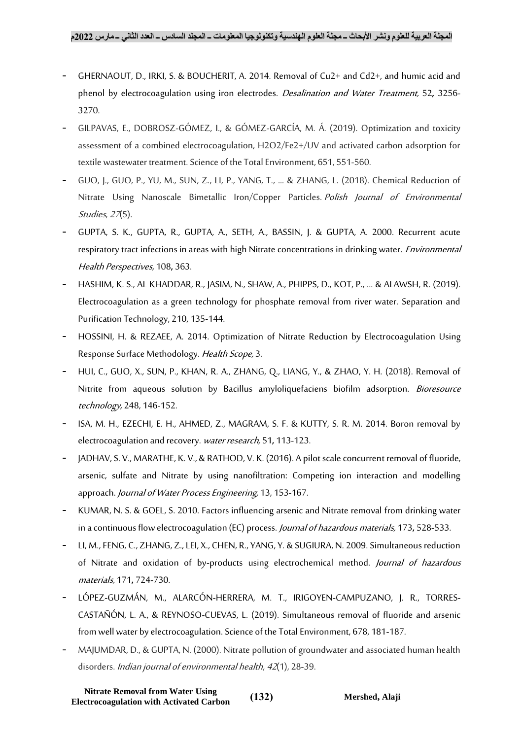- GHERNAOUT, D., IRKI, S. & BOUCHERIT, A. 2014. Removal of Cu2+ and Cd2+, and humic acid and phenol by electrocoagulation using iron electrodes. Desalination and Water Treatment, 52**,** 3256- 3270.
- GILPAVAS, E., DOBROSZ-GÓMEZ, I., & GÓMEZ-GARCÍA, M. Á. (2019). Optimization and toxicity assessment of a combined electrocoagulation, H2O2/Fe2+/UV and activated carbon adsorption for textile wastewater treatment. Science of the Total Environment, 651, 551-560.
- GUO, J., GUO, P., YU, M., SUN, Z., LI, P., YANG, T., ... & ZHANG, L. (2018). Chemical Reduction of Nitrate Using Nanoscale Bimetallic Iron/Copper Particles. Polish Journal of Environmental Studies, 27(5).
- GUPTA, S. K., GUPTA, R., GUPTA, A., SETH, A., BASSIN, J. & GUPTA, A. 2000. Recurrent acute respiratory tract infections in areas with high Nitrate concentrations in drinking water. *Environmental* Health Perspectives, 108**,** 363.
- HASHIM, K. S., AL KHADDAR, R., JASIM, N., SHAW, A., PHIPPS, D., KOT, P., ... & ALAWSH, R. (2019). Electrocoagulation as a green technology for phosphate removal from river water. Separation and Purification Technology, 210, 135-144.
- HOSSINI, H. & REZAEE, A. 2014. Optimization of Nitrate Reduction by Electrocoagulation Using Response Surface Methodology. Health Scope, 3.
- HUI, C., GUO, X., SUN, P., KHAN, R. A., ZHANG, Q., LIANG, Y., & ZHAO, Y. H. (2018). Removal of Nitrite from aqueous solution by Bacillus amyloliquefaciens biofilm adsorption. Bioresource technology, 248, 146-152.
- ISA, M. H., EZECHI, E. H., AHMED, Z., MAGRAM, S. F. & KUTTY, S. R. M. 2014. Boron removal by electrocoagulation and recovery. water research, 51**,** 113-123.
- JADHAV, S. V., MARATHE, K. V., & RATHOD, V. K. (2016). A pilot scale concurrent removal of fluoride, arsenic, sulfate and Nitrate by using nanofiltration: Competing ion interaction and modelling approach. Journal of Water Process Engineering, 13, 153-167.
- KUMAR, N. S. & GOEL, S. 2010. Factors influencing arsenic and Nitrate removal from drinking water in a continuous flow electrocoagulation (EC) process. Journal of hazardous materials, 173**,** 528-533.
- LI, M., FENG, C., ZHANG, Z., LEI, X., CHEN, R., YANG, Y. & SUGIURA, N. 2009. Simultaneous reduction of Nitrate and oxidation of by-products using electrochemical method. Journal of hazardous materials, 171**,** 724-730.
- LÓPEZ-GUZMÁN, M., ALARCÓN-HERRERA, M. T., IRIGOYEN-CAMPUZANO, J. R., TORRES-CASTAÑÓN, L. A., & REYNOSO-CUEVAS, L. (2019). Simultaneous removal of fluoride and arsenic from well water by electrocoagulation. Science of the Total Environment, 678, 181-187.
- MAJUMDAR, D., & GUPTA, N. (2000). Nitrate pollution of groundwater and associated human health disorders. *Indian journal of environmental health*, 42(1), 28-39.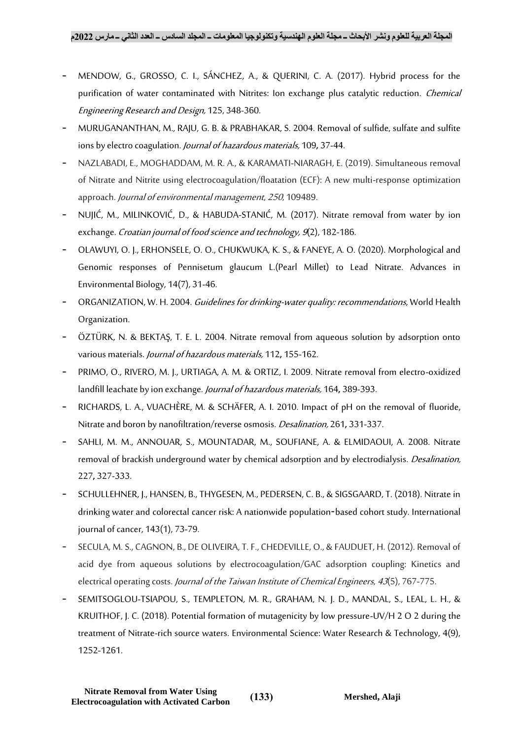- MENDOW, G., GROSSO, C. I., SÁNCHEZ, A., & QUERINI, C. A. (2017). Hybrid process for the purification of water contaminated with Nitrites: Ion exchange plus catalytic reduction. *Chemical* Engineering Research and Design, 125, 348-360.
- MURUGANANTHAN, M., RAJU, G. B. & PRABHAKAR, S. 2004. Removal of sulfide, sulfate and sulfite ions by electro coagulation. Journal of hazardous materials, 109**,** 37-44.
- NAZLABADI, E., MOGHADDAM, M. R. A., & KARAMATI-NIARAGH, E. (2019). Simultaneous removal of Nitrate and Nitrite using electrocoagulation/floatation (ECF): A new multi-response optimization approach. Journal of environmental management, <sup>250</sup>, 109489.
- NUJIĆ, M., MILINKOVIĆ, D., & HABUDA-STANIĆ, M. (2017). Nitrate removal from water by ion exchange. Croatian journal of food science and technology, 9(2), 182-186.
- OLAWUYI, O. J., ERHONSELE, O. O., CHUKWUKA, K. S., & FANEYE, A. O. (2020). Morphological and Genomic responses of Pennisetum glaucum L.(Pearl Millet) to Lead Nitrate. Advances in Environmental Biology, 14(7), 31-46.
- ORGANIZATION, W. H. 2004. Guidelines for drinking-water quality: recommendations, World Health Organization.
- ÖZTÜRK, N. & BEKTAŞ, T. E. L. 2004. Nitrate removal from aqueous solution by adsorption onto various materials. Journal of hazardous materials, 112**,** 155-162.
- PRIMO, O., RIVERO, M. J., URTIAGA, A. M. & ORTIZ, I. 2009. Nitrate removal from electro-oxidized landfill leachate by ion exchange. Journal of hazardous materials, 164**,** 389-393.
- RICHARDS, L. A., VUACHÈRE, M. & SCHÄFER, A. I. 2010. Impact of pH on the removal of fluoride, Nitrate and boron by nanofiltration/reverse osmosis. Desalination, 261**,** 331-337.
- SAHLI, M. M., ANNOUAR, S., MOUNTADAR, M., SOUFIANE, A. & ELMIDAOUI, A. 2008. Nitrate removal of brackish underground water by chemical adsorption and by electrodialysis. *Desalination*, 227**,** 327-333.
- SCHULLEHNER, J., HANSEN, B., THYGESEN, M., PEDERSEN, C. B., & SIGSGAARD, T. (2018). Nitrate in drinking water and colorectal cancer risk: A nationwide population‐based cohort study. International journal of cancer, 143(1), 73-79.
- SECULA, M. S., CAGNON, B., DE OLIVEIRA, T. F., CHEDEVILLE, O., & FAUDUET, H. (2012). Removal of acid dye from aqueous solutions by electrocoagulation/GAC adsorption coupling: Kinetics and electrical operating costs. Journal of the Taiwan Institute of Chemical Engineers, 43(5), 767-775.
- SEMITSOGLOU-TSIAPOU, S., TEMPLETON, M. R., GRAHAM, N. J. D., MANDAL, S., LEAL, L. H., & KRUITHOF, J. C. (2018). Potential formation of mutagenicity by low pressure-UV/H 2 O 2 during the treatment of Nitrate-rich source waters. Environmental Science: Water Research & Technology, 4(9), 1252-1261.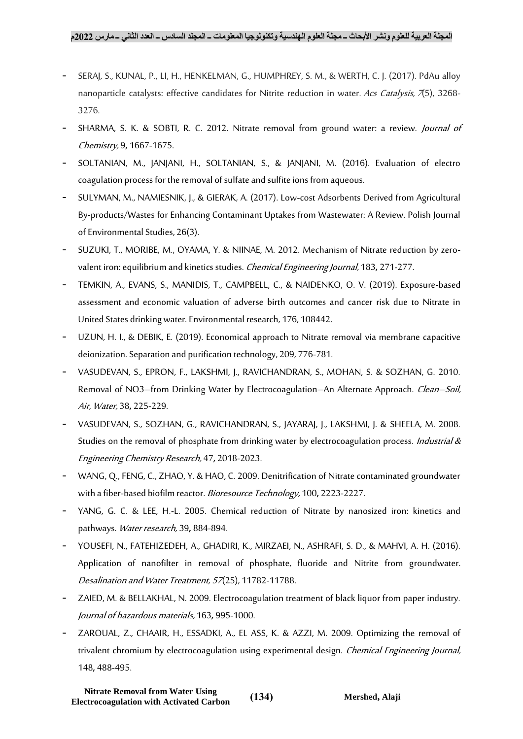- SERAJ, S., KUNAL, P., LI, H., HENKELMAN, G., HUMPHREY, S. M., & WERTH, C. J. (2017). PdAu alloy nanoparticle catalysts: effective candidates for Nitrite reduction in water. Acs Catalysis, 7(5), 3268-3276.
- SHARMA, S. K. & SOBTI, R. C. 2012. Nitrate removal from ground water: a review. *Journal of* Chemistry, 9**,** 1667-1675.
- SOLTANIAN, M., JANJANI, H., SOLTANIAN, S., & JANJANI, M. (2016). Evaluation of electro coagulation process for the removal of sulfate and sulfite ions from aqueous.
- SULYMAN, M., NAMIESNIK, J., & GIERAK, A. (2017). Low-cost Adsorbents Derived from Agricultural By-products/Wastes for Enhancing Contaminant Uptakes from Wastewater: A Review. Polish Journal of Environmental Studies, 26(3).
- SUZUKI, T., MORIBE, M., OYAMA, Y. & NIINAE, M. 2012. Mechanism of Nitrate reduction by zerovalent iron: equilibrium and kinetics studies. Chemical Engineering Journal, 183**,** 271-277.
- TEMKIN, A., EVANS, S., MANIDIS, T., CAMPBELL, C., & NAIDENKO, O. V. (2019). Exposure-based assessment and economic valuation of adverse birth outcomes and cancer risk due to Nitrate in United States drinking water. Environmental research, 176, 108442.
- UZUN, H. I., & DEBIK, E. (2019). Economical approach to Nitrate removal via membrane capacitive deionization. Separation and purification technology, 209, 776-781.
- VASUDEVAN, S., EPRON, F., LAKSHMI, J., RAVICHANDRAN, S., MOHAN, S. & SOZHAN, G. 2010. Removal of NO3–from Drinking Water by Electrocoagulation–An Alternate Approach. Clean–Soil, Air, Water, 38**,** 225-229.
- VASUDEVAN, S., SOZHAN, G., RAVICHANDRAN, S., JAYARAJ, J., LAKSHMI, J. & SHEELA, M. 2008. Studies on the removal of phosphate from drinking water by electrocoagulation process. *Industrial &* Engineering Chemistry Research, 47**,** 2018-2023.
- WANG, Q., FENG, C., ZHAO, Y. & HAO, C. 2009. Denitrification of Nitrate contaminated groundwater with a fiber-based biofilm reactor. Bioresource Technology, 100**,** 2223-2227.
- YANG, G. C. & LEE, H.-L. 2005. Chemical reduction of Nitrate by nanosized iron: kinetics and pathways. Water research, 39**,** 884-894.
- YOUSEFI, N., FATEHIZEDEH, A., GHADIRI, K., MIRZAEI, N., ASHRAFI, S. D., & MAHVI, A. H. (2016). Application of nanofilter in removal of phosphate, fluoride and Nitrite from groundwater. Desalination and Water Treatment, 57(25), 11782-11788.
- ZAIED, M. & BELLAKHAL, N. 2009. Electrocoagulation treatment of black liquor from paper industry. Journal of hazardous materials, 163**,** 995-1000.
- ZAROUAL, Z., CHAAIR, H., ESSADKI, A., EL ASS, K. & AZZI, M. 2009. Optimizing the removal of trivalent chromium by electrocoagulation using experimental design. *Chemical Engineering Journal*, 148**,** 488-495.